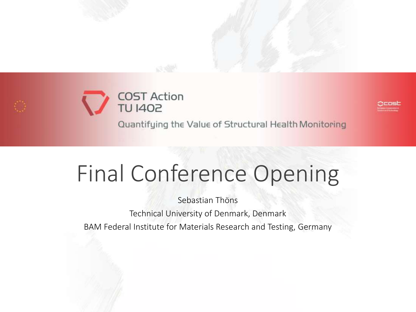



Quantifying the Value of Structural Health Monitoring

# Final Conference Opening

Sebastian Thöns Technical University of Denmark, Denmark BAM Federal Institute for Materials Research and Testing, Germany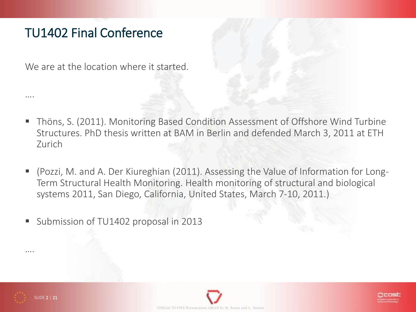# TU1402 Final Conference

We are at the location where it started.

- Thöns, S. (2011). Monitoring Based Condition Assessment of Offshore Wind Turbine Structures. PhD thesis written at BAM in Berlin and defended March 3, 2011 at ETH Zurich
- (Pozzi, M. and A. Der Kiureghian (2011). Assessing the Value of Information for Long-Term Structural Health Monitoring. Health monitoring of structural and biological systems 2011, San Diego, California, United States, March 7-10, 2011.)
- Submission of TU1402 proposal in 2013



….

….



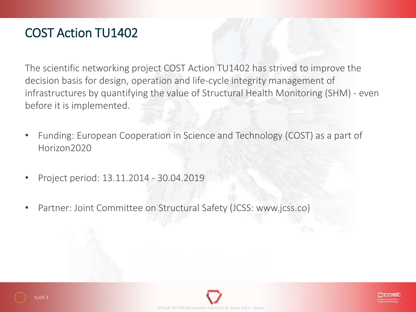# COST Action TU1402

The scientific networking project COST Action TU1402 has strived to improve the decision basis for design, operation and life-cycle integrity management of infrastructures by quantifying the value of Structural Health Monitoring (SHM) - even before it is implemented.

- Funding: European Cooperation in Science and Technology (COST) as a part of Horizon2020
- Project period: 13.11.2014 30.04.2019
- Partner: Joint Committee on Structural Safety (JCSS: www.jcss.co)





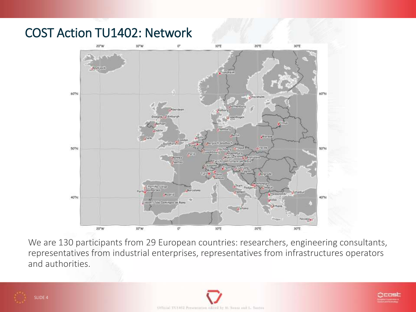#### COST Action TU1402: Network



We are 130 participants from 29 European countries: researchers, engineering consultants, representatives from industrial enterprises, representatives from infrastructures operators and authorities.



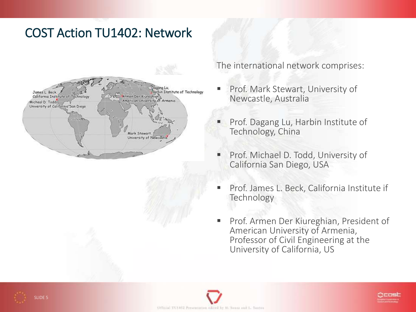## COST Action TU1402: Network



The international network comprises:

- Prof. Mark Stewart, University of Newcastle, Australia
- Prof. Dagang Lu, Harbin Institute of Technology, China
- Prof. Michael D. Todd, University of California San Diego, USA
- Prof. James L. Beck, California Institute if **Technology**
- **Prof. Armen Der Kiureghian, President of** American University of Armenia, Professor of Civil Engineering at the University of California, US





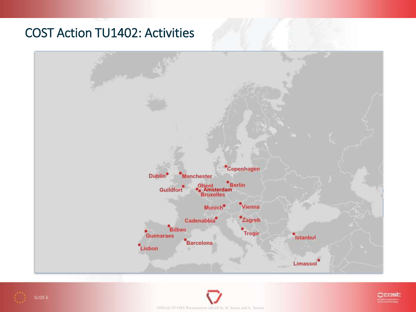## COST Action TU1402: Activities





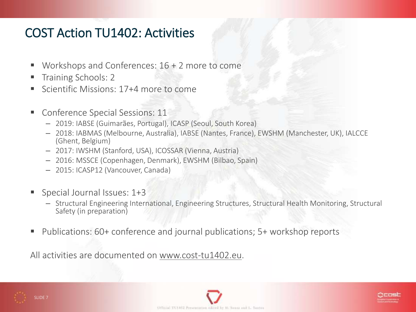### COST Action TU1402: Activities

- Workshops and Conferences:  $16 + 2$  more to come
- Training Schools: 2
- Scientific Missions: 17+4 more to come
- **Conference Special Sessions: 11** 
	- 2019: IABSE (Guimarães, Portugal), ICASP (Seoul, South Korea)
	- 2018: IABMAS (Melbourne, Australia), IABSE (Nantes, France), EWSHM (Manchester, UK), IALCCE (Ghent, Belgium)
	- 2017: IWSHM (Stanford, USA), ICOSSAR (Vienna, Austria)
	- 2016: MSSCE (Copenhagen, Denmark), EWSHM (Bilbao, Spain)
	- 2015: ICASP12 (Vancouver, Canada)
- Special Journal Issues: 1+3
	- Structural Engineering International, Engineering Structures, Structural Health Monitoring, Structural Safety (in preparation)
- Publications: 60+ conference and journal publications; 5+ workshop reports

All activities are documented on www.cost-tu1402.eu.





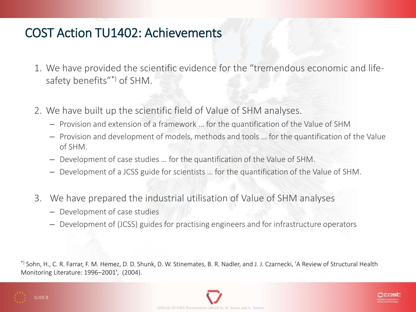#### COST Action TU1402: Achievements

- 1. We have provided the scientific evidence for the "tremendous economic and lifesafety benefits"\*) of SHM.
- 2. We have built up the scientific field of Value of SHM analyses.
	- Provision and extension of a framework … for the quantification of the Value of SHM
	- Provision and development of models, methods and tools … for the quantification of the Value of SHM.
	- Development of case studies … for the quantification of the Value of SHM.
	- Development of a JCSS guide for scientists … for the quantification of the Value of SHM.
- 3. We have prepared the industrial utilisation of Value of SHM analyses
	- Development of case studies
	- Development of (JCSS) guides for practising engineers and for infrastructure operators

\*) Sohn, H., C. R. Farrar, F. M. Hemez, D. D. Shunk, D. W. Stinemates, B. R. Nadler, and J. J. Czarnecki, 'A Review of Structural Health Monitoring Literature: 1996–2001', (2004).